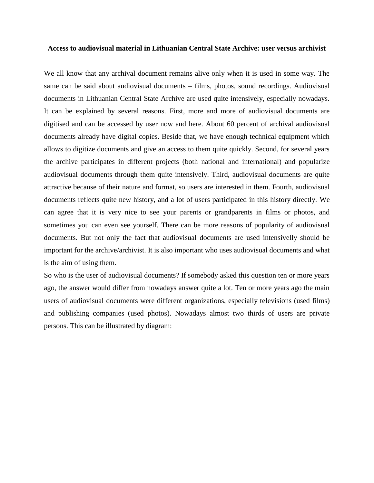## **Access to audiovisual material in Lithuanian Central State Archive: user versus archivist**

We all know that any archival document remains alive only when it is used in some way. The same can be said about audiovisual documents – films, photos, sound recordings. Audiovisual documents in Lithuanian Central State Archive are used quite intensively, especially nowadays. It can be explained by several reasons. First, more and more of audiovisual documents are digitised and can be accessed by user now and here. About 60 percent of archival audiovisual documents already have digital copies. Beside that, we have enough technical equipment which allows to digitize documents and give an access to them quite quickly. Second, for several years the archive participates in different projects (both national and international) and popularize audiovisual documents through them quite intensively. Third, audiovisual documents are quite attractive because of their nature and format, so users are interested in them. Fourth, audiovisual documents reflects quite new history, and a lot of users participated in this history directly. We can agree that it is very nice to see your parents or grandparents in films or photos, and sometimes you can even see yourself. There can be more reasons of popularity of audiovisual documents. But not only the fact that audiovisual documents are used intensivelly should be important for the archive/archivist. It is also important who uses audiovisual documents and what is the aim of using them.

So who is the user of audiovisual documents? If somebody asked this question ten or more years ago, the answer would differ from nowadays answer quite a lot. Ten or more years ago the main users of audiovisual documents were different organizations, especially televisions (used films) and publishing companies (used photos). Nowadays almost two thirds of users are private persons. This can be illustrated by diagram: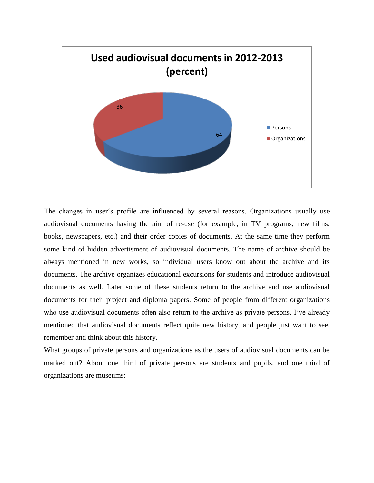

The changes in user's profile are influenced by several reasons. Organizations usually use audiovisual documents having the aim of re-use (for example, in TV programs, new films, books, newspapers, etc.) and their order copies of documents. At the same time they perform some kind of hidden advertisment of audiovisual documents. The name of archive should be always mentioned in new works, so individual users know out about the archive and its documents. The archive organizes educational excursions for students and introduce audiovisual documents as well. Later some of these students return to the archive and use audiovisual documents for their project and diploma papers. Some of people from different organizations who use audiovisual documents often also return to the archive as private persons. I've already mentioned that audiovisual documents reflect quite new history, and people just want to see, remember and think about this history.

What groups of private persons and organizations as the users of audiovisual documents can be marked out? About one third of private persons are students and pupils, and one third of organizations are museums: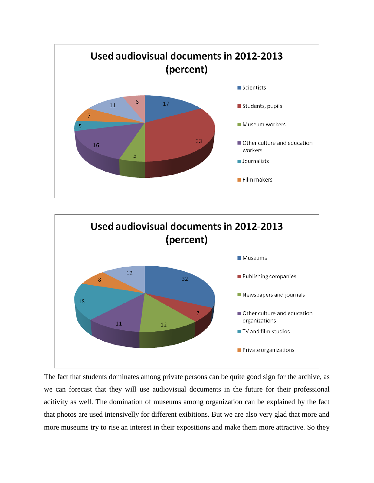



The fact that students dominates among private persons can be quite good sign for the archive, as we can forecast that they will use audiovisual documents in the future for their professional acitivity as well. The domination of museums among organization can be explained by the fact that photos are used intensivelly for different exibitions. But we are also very glad that more and more museums try to rise an interest in their expositions and make them more attractive. So they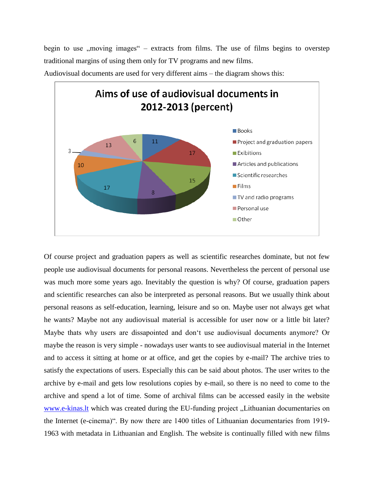begin to use  $,$  moving images" – extracts from films. The use of films begins to overstep traditional margins of using them only for TV programs and new films.



Audiovisual documents are used for very different aims – the diagram shows this:

Of course project and graduation papers as well as scientific researches dominate, but not few people use audiovisual documents for personal reasons. Nevertheless the percent of personal use was much more some years ago. Inevitably the question is why? Of course, graduation papers and scientific researches can also be interpreted as personal reasons. But we usually think about personal reasons as self-education, learning, leisure and so on. Maybe user not always get what he wants? Maybe not any audiovisual material is accessible for user now or a little bit later? Maybe thats why users are dissapointed and don't use audiovisual documents anymore? Or maybe the reason is very simple - nowadays user wants to see audiovisual material in the Internet and to access it sitting at home or at office, and get the copies by e-mail? The archive tries to satisfy the expectations of users. Especially this can be said about photos. The user writes to the archive by e-mail and gets low resolutions copies by e-mail, so there is no need to come to the archive and spend a lot of time. Some of archival films can be accessed easily in the website [www.e-kinas.lt](http://www.e-kinas.lt/) which was created during the EU-funding project "Lithuanian documentaries on the Internet (e-cinema)". By now there are 1400 titles of Lithuanian documentaries from 1919- 1963 with metadata in Lithuanian and English. The website is continually filled with new films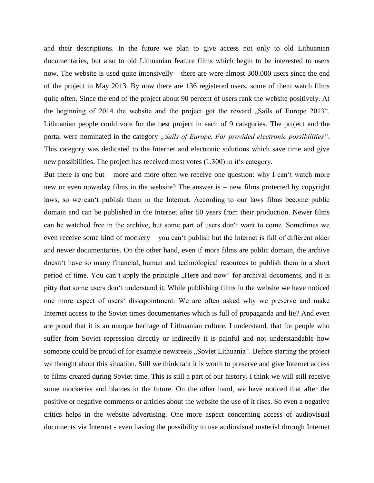and their descriptions. In the future we plan to give access not only to old Lithuanian documentaries, but also to old Lithuanian feature films which begin to be interested to users now. The website is used quite intensivelly – there are were almost 300.000 users since the end of the project in May 2013. By now there are 136 registered users, some of them watch films quite often. Since the end of the project about 90 percent of users rank the website positively. At the beginning of 2014 the website and the project got the reward "Sails of Europe 2013". Lithuanian people could vote for the best project in each of 9 categories. The project and the portal were nominated in the category "Sails of Europe. For provided electronic possibilities". This category was dedicated to the Internet and electronic solutions which save time and give new possibilities. The project has received most votes (1.300) in it's category.

But there is one but – more and more often we receive one question: why I can't watch more new or even nowaday films in the website? The answer is – new films protected by copyright laws, so we can't publish them in the Internet. According to our laws films become public domain and can be published in the Internet after 50 years from their production. Newer films can be watched free in the archive, but some part of users don't want to come. Sometimes we even receive some kind of mockery – you can't publish but the Internet is full of different older and newer documentaries. On the other hand, even if more films are public domain, the archive doesn't have so many financial, human and technological resources to publish them in a short period of time. You can't apply the principle . Here and now" for archival documents, and it is pitty that some users don't understand it. While publishing films in the website we have noticed one more aspect of users' dissapointment. We are often asked why we preserve and make Internet access to the Soviet times documentaries which is full of propaganda and lie? And even are proud that it is an unuque heritage of Lithuanian culture. I understand, that for people who suffer from Soviet repression directly or indirectly it is painful and not understandable how someone could be proud of for example newsreels "Soviet Lithuania". Before starting the project we thought about this situation. Still we think taht it is worth to preserve and give Internet access to films created during Soviet time. This is still a part of our history. I think we will still receive some mockeries and blames in the future. On the other hand, we have noticed that after the positive or negative comments or articles about the website the use of it rises. So even a negative critics helps in the website advertising. One more aspect concerning access of audiovisual documents via Internet - even having the possibility to use audiovisual material through Internet